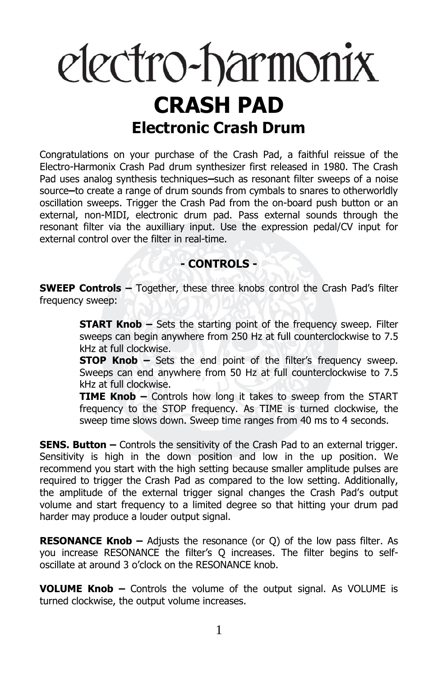# electro-harmonix **CRASH PAD Electronic Crash Drum**

Congratulations on your purchase of the Crash Pad, a faithful reissue of the Electro-Harmonix Crash Pad drum synthesizer first released in 1980. The Crash Pad uses analog synthesis techniques**–**such as resonant filter sweeps of a noise source**–**to create a range of drum sounds from cymbals to snares to otherworldly oscillation sweeps. Trigger the Crash Pad from the on-board push button or an external, non-MIDI, electronic drum pad. Pass external sounds through the resonant filter via the auxilliary input. Use the expression pedal/CV input for external control over the filter in real-time.

## **- CONTROLS -**

**SWEEP Controls –** Together, these three knobs control the Crash Pad's filter frequency sweep:

> **START Knob –** Sets the starting point of the frequency sweep. Filter sweeps can begin anywhere from 250 Hz at full counterclockwise to 7.5 kHz at full clockwise.

> **STOP Knob –** Sets the end point of the filter's frequency sweep. Sweeps can end anywhere from 50 Hz at full counterclockwise to 7.5 kHz at full clockwise.

> **TIME Knob –** Controls how long it takes to sweep from the START frequency to the STOP frequency. As TIME is turned clockwise, the sweep time slows down. Sweep time ranges from 40 ms to 4 seconds.

**SENS. Button** – Controls the sensitivity of the Crash Pad to an external trigger. Sensitivity is high in the down position and low in the up position. We recommend you start with the high setting because smaller amplitude pulses are required to trigger the Crash Pad as compared to the low setting. Additionally, the amplitude of the external trigger signal changes the Crash Pad's output volume and start frequency to a limited degree so that hitting your drum pad harder may produce a louder output signal.

**RESONANCE Knob –** Adjusts the resonance (or Q) of the low pass filter. As you increase RESONANCE the filter's Q increases. The filter begins to selfoscillate at around 3 o'clock on the RESONANCE knob.

**VOLUME Knob –** Controls the volume of the output signal. As VOLUME is turned clockwise, the output volume increases.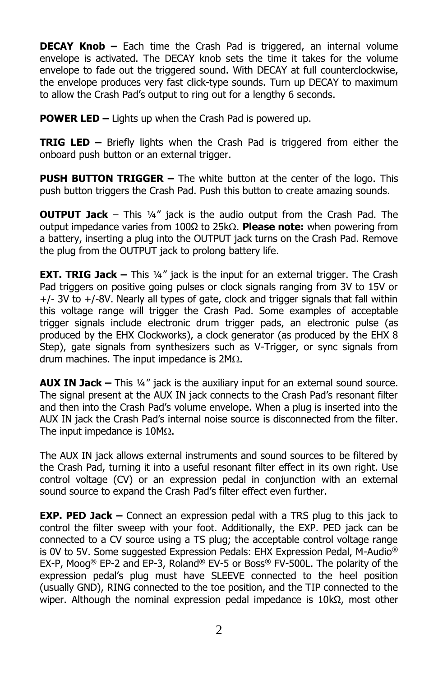**DECAY Knob –** Each time the Crash Pad is triggered, an internal volume envelope is activated. The DECAY knob sets the time it takes for the volume envelope to fade out the triggered sound. With DECAY at full counterclockwise, the envelope produces very fast click-type sounds. Turn up DECAY to maximum to allow the Crash Pad's output to ring out for a lengthy 6 seconds.

**POWER LED –** Lights up when the Crash Pad is powered up.

**TRIG LED –** Briefly lights when the Crash Pad is triggered from either the onboard push button or an external trigger.

**PUSH BUTTON TRIGGER –** The white button at the center of the logo. This push button triggers the Crash Pad. Push this button to create amazing sounds.

**OUTPUT Jack** – This ¼" jack is the audio output from the Crash Pad. The output impedance varies from 100Ω to 25kΩ. Please note: when powering from a battery, inserting a plug into the OUTPUT jack turns on the Crash Pad. Remove the plug from the OUTPUT jack to prolong battery life.

**EXT. TRIG Jack –** This 1/4" jack is the input for an external trigger. The Crash Pad triggers on positive going pulses or clock signals ranging from 3V to 15V or +/- 3V to +/-8V. Nearly all types of gate, clock and trigger signals that fall within this voltage range will trigger the Crash Pad. Some examples of acceptable trigger signals include electronic drum trigger pads, an electronic pulse (as produced by the EHX Clockworks), a clock generator (as produced by the EHX 8 Step), gate signals from synthesizers such as V-Trigger, or sync signals from drum machines. The input impedance is  $2M<sub>\Omega</sub>$ .

**AUX IN Jack –** This ¼" jack is the auxiliary input for an external sound source. The signal present at the AUX IN jack connects to the Crash Pad's resonant filter and then into the Crash Pad's volume envelope. When a plug is inserted into the AUX IN jack the Crash Pad's internal noise source is disconnected from the filter. The input impedance is  $10M<sub>\Omega</sub>$ .

The AUX IN jack allows external instruments and sound sources to be filtered by the Crash Pad, turning it into a useful resonant filter effect in its own right. Use control voltage (CV) or an expression pedal in conjunction with an external sound source to expand the Crash Pad's filter effect even further.

**EXP. PED Jack –** Connect an expression pedal with a TRS plug to this jack to control the filter sweep with your foot. Additionally, the EXP. PED jack can be connected to a CV source using a TS plug; the acceptable control voltage range is 0V to 5V. Some suggested Expression Pedals: EHX Expression Pedal, M-Audio<sup>®</sup> EX-P, Moog<sup>®</sup> EP-2 and EP-3, Roland<sup>®</sup> EV-5 or Boss<sup>®</sup> FV-500L. The polarity of the expression pedal's plug must have SLEEVE connected to the heel position (usually GND), RING connected to the toe position, and the TIP connected to the wiper. Although the nominal expression pedal impedance is  $10kΩ$ , most other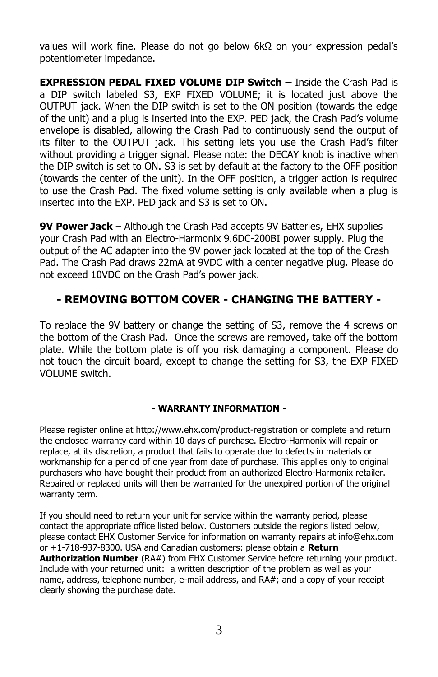values will work fine. Please do not go below 6kΩ on your expression pedal's potentiometer impedance.

**EXPRESSION PEDAL FIXED VOLUME DIP Switch –** Inside the Crash Pad is a DIP switch labeled S3, EXP FIXED VOLUME; it is located just above the OUTPUT jack. When the DIP switch is set to the ON position (towards the edge of the unit) and a plug is inserted into the EXP. PED jack, the Crash Pad's volume envelope is disabled, allowing the Crash Pad to continuously send the output of its filter to the OUTPUT jack. This setting lets you use the Crash Pad's filter without providing a trigger signal. Please note: the DECAY knob is inactive when the DIP switch is set to ON. S3 is set by default at the factory to the OFF position (towards the center of the unit). In the OFF position, a trigger action is required to use the Crash Pad. The fixed volume setting is only available when a plug is inserted into the EXP. PED jack and S3 is set to ON.

**9V Power Jack** – Although the Crash Pad accepts 9V Batteries, EHX supplies your Crash Pad with an Electro-Harmonix 9.6DC-200BI power supply. Plug the output of the AC adapter into the 9V power jack located at the top of the Crash Pad. The Crash Pad draws 22mA at 9VDC with a center negative plug. Please do not exceed 10VDC on the Crash Pad's power jack.

## **- REMOVING BOTTOM COVER - CHANGING THE BATTERY -**

To replace the 9V battery or change the setting of S3, remove the 4 screws on the bottom of the Crash Pad. Once the screws are removed, take off the bottom plate. While the bottom plate is off you risk damaging a component. Please do not touch the circuit board, except to change the setting for S3, the EXP FIXED VOLUME switch.

### **- WARRANTY INFORMATION -**

Please register online at http://www.ehx.com/product-registration or complete and return the enclosed warranty card within 10 days of purchase. Electro-Harmonix will repair or replace, at its discretion, a product that fails to operate due to defects in materials or workmanship for a period of one year from date of purchase. This applies only to original purchasers who have bought their product from an authorized Electro-Harmonix retailer. Repaired or replaced units will then be warranted for the unexpired portion of the original warranty term.

If you should need to return your unit for service within the warranty period, please contact the appropriate office listed below. Customers outside the regions listed below, please contact EHX Customer Service for information on warranty repairs at info@ehx.com or +1-718-937-8300. USA and Canadian customers: please obtain a **Return Authorization Number** (RA#) from EHX Customer Service before returning your product. Include with your returned unit: a written description of the problem as well as your name, address, telephone number, e-mail address, and RA#; and a copy of your receipt clearly showing the purchase date.